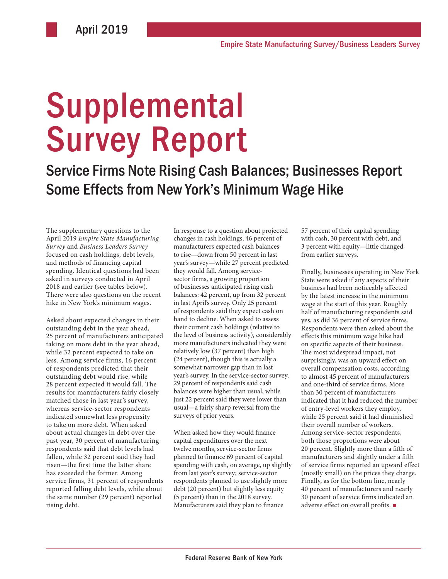# Supplemental Survey Report

Service Firms Note Rising Cash Balances; Businesses Report Some Effects from New York's Minimum Wage Hike

The supplementary questions to the April 2019 *Empire State Manufacturing Survey* and *Business Leaders Survey* focused on cash holdings, debt levels, and methods of financing capital spending. Identical questions had been asked in surveys conducted in April 2018 and earlier (see tables below). There were also questions on the recent hike in New York's minimum wages.

Asked about expected changes in their outstanding debt in the year ahead, 25 percent of manufacturers anticipated taking on more debt in the year ahead, while 32 percent expected to take on less. Among service firms, 16 percent of respondents predicted that their outstanding debt would rise, while 28 percent expected it would fall. The results for manufacturers fairly closely matched those in last year's survey, whereas service-sector respondents indicated somewhat less propensity to take on more debt. When asked about actual changes in debt over the past year, 30 percent of manufacturing respondents said that debt levels had fallen, while 32 percent said they had risen—the first time the latter share has exceeded the former. Among service firms, 31 percent of respondents reported falling debt levels, while about the same number (29 percent) reported rising debt.

In response to a question about projected changes in cash holdings, 46 percent of manufacturers expected cash balances to rise—down from 50 percent in last year's survey—while 27 percent predicted they would fall. Among servicesector firms, a growing proportion of businesses anticipated rising cash balances: 42 percent, up from 32 percent in last April's survey. Only 25 percent of respondents said they expect cash on hand to decline. When asked to assess their current cash holdings (relative to the level of business activity), considerably more manufacturers indicated they were relatively low (37 percent) than high (24 percent), though this is actually a somewhat narrower gap than in last year's survey. In the service-sector survey, 29 percent of respondents said cash balances were higher than usual, while just 22 percent said they were lower than usual—a fairly sharp reversal from the surveys of prior years.

When asked how they would finance capital expenditures over the next twelve months, service-sector firms planned to finance 69 percent of capital spending with cash, on average, up slightly from last year's survey; service-sector respondents planned to use slightly more debt (20 percent) but slightly less equity (5 percent) than in the 2018 survey. Manufacturers said they plan to finance

57 percent of their capital spending with cash, 30 percent with debt, and 3 percent with equity—little changed from earlier surveys.

Finally, businesses operating in New York State were asked if any aspects of their business had been noticeably affected by the latest increase in the minimum wage at the start of this year. Roughly half of manufacturing respondents said yes, as did 36 percent of service firms. Respondents were then asked about the effects this minimum wage hike had on specific aspects of their business. The most widespread impact, not surprisingly, was an upward effect on overall compensation costs, according to almost 45 percent of manufacturers and one-third of service firms. More than 30 percent of manufacturers indicated that it had reduced the number of entry-level workers they employ, while 25 percent said it had diminished their overall number of workers. Among service-sector respondents, both those proportions were about 20 percent. Slightly more than a fifth of manufacturers and slightly under a fifth of service firms reported an upward effect (mostly small) on the prices they charge. Finally, as for the bottom line, nearly 40 percent of manufacturers and nearly 30 percent of service firms indicated an adverse effect on overall profits. ■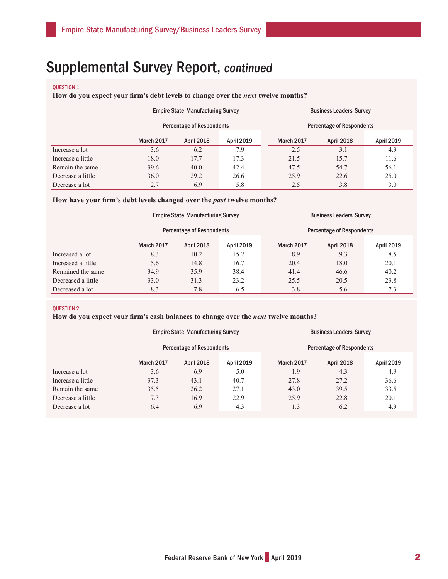# Supplemental Survey Report, continued

#### QUESTION 1

**How do you expect your firm's debt levels to change over the** *next* **twelve months?** 

|                   | <b>Empire State Manufacturing Survey</b>             |                                  |            |                   | <b>Business Leaders Survey</b><br><b>Percentage of Respondents</b> |      |  |  |
|-------------------|------------------------------------------------------|----------------------------------|------------|-------------------|--------------------------------------------------------------------|------|--|--|
|                   |                                                      | <b>Percentage of Respondents</b> |            |                   |                                                                    |      |  |  |
|                   | March 2017<br><b>April 2019</b><br><b>April 2018</b> |                                  | March 2017 | <b>April 2018</b> | <b>April 2019</b>                                                  |      |  |  |
| Increase a lot    | 3.6                                                  | 6.2                              | 7.9        | 2.5               | 3.1                                                                | 4.3  |  |  |
| Increase a little | 18.0                                                 | 17.7                             | 17.3       | 21.5              | 15.7                                                               | 11.6 |  |  |
| Remain the same   | 39.6                                                 | 40.0                             | 42.4       | 47.5              | 54.7                                                               | 56.1 |  |  |
| Decrease a little | 36.0                                                 | 29.2                             | 26.6       | 25.9              | 22.6                                                               | 25.0 |  |  |
| Decrease a lot    | 2.7                                                  | 6.9                              | 5.8        | 2.5               | 3.8                                                                | 3.0  |  |  |

### How have your firm's debt levels changed over the *past* twelve months?

|                    | <b>Empire State Manufacturing Survey</b><br><b>Percentage of Respondents</b> |                                        |      |            | <b>Business Leaders Survey</b><br><b>Percentage of Respondents</b> |                   |  |  |
|--------------------|------------------------------------------------------------------------------|----------------------------------------|------|------------|--------------------------------------------------------------------|-------------------|--|--|
|                    |                                                                              |                                        |      |            |                                                                    |                   |  |  |
|                    | <b>March 2017</b>                                                            | <b>April 2018</b><br><b>April 2019</b> |      | March 2017 | <b>April 2018</b>                                                  | <b>April 2019</b> |  |  |
| Increased a lot    | 8.3                                                                          | 10.2                                   | 15.2 | 8.9        | 9.3                                                                | 8.5               |  |  |
| Increased a little | 15.6                                                                         | 14.8                                   | 16.7 | 20.4       | 18.0                                                               | 20.1              |  |  |
| Remained the same  | 34.9                                                                         | 35.9                                   | 38.4 | 41.4       | 46.6                                                               | 40.2              |  |  |
| Decreased a little | 33.0                                                                         | 31.3                                   | 23.2 | 25.5       | 20.5                                                               | 23.8              |  |  |
| Decreased a lot    | 8.3                                                                          | 7.8                                    | 6.5  | 3.8        | 5.6                                                                | 7.3               |  |  |

#### QUESTION 2

## **How do you expect your firm's cash balances to change over the** *next* **twelve months?**

|                   | <b>Empire State Manufacturing Survey</b><br>Percentage of Respondents |            |                   |  | <b>Business Leaders Survey</b><br>Percentage of Respondents |                   |                   |  |
|-------------------|-----------------------------------------------------------------------|------------|-------------------|--|-------------------------------------------------------------|-------------------|-------------------|--|
|                   |                                                                       |            |                   |  |                                                             |                   |                   |  |
|                   | March 2017                                                            | April 2018 | <b>April 2019</b> |  | March 2017                                                  | <b>April 2018</b> | <b>April 2019</b> |  |
| Increase a lot    | 3.6                                                                   | 6.9        | 5.0               |  | 1.9                                                         | 4.3               | 4.9               |  |
| Increase a little | 37.3                                                                  | 43.1       | 40.7              |  | 27.8                                                        | 27.2              | 36.6              |  |
| Remain the same   | 35.5                                                                  | 26.2       | 27.1              |  | 43.0                                                        | 39.5              | 33.5              |  |
| Decrease a little | 17.3                                                                  | 16.9       | 22.9              |  | 25.9                                                        | 22.8              | 20.1              |  |
| Decrease a lot    | 6.4                                                                   | 6.9        | 4.3               |  | 1.3                                                         | 6.2               | 4.9               |  |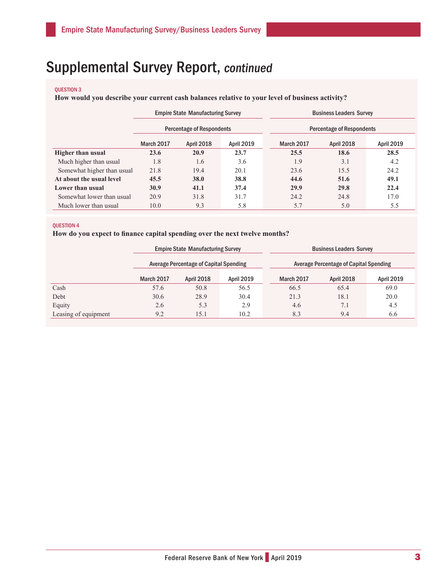# Supplemental Survey Report, continued

## QUESTION 3

**How would you describe your current cash balances relative to your level of business activity?**

|                            | <b>Empire State Manufacturing Survey</b><br><b>Percentage of Respondents</b> |                   |                   | <b>Business Leaders Survey</b> |                                  |            |                   |
|----------------------------|------------------------------------------------------------------------------|-------------------|-------------------|--------------------------------|----------------------------------|------------|-------------------|
|                            |                                                                              |                   |                   |                                | <b>Percentage of Respondents</b> |            |                   |
|                            | <b>March 2017</b>                                                            | <b>April 2018</b> | <b>April 2019</b> | March 2017                     |                                  | April 2018 | <b>April 2019</b> |
| <b>Higher than usual</b>   | 23.6                                                                         | 20.9              | 23.7              | 25.5                           |                                  | 18.6       | 28.5              |
| Much higher than usual     | 1.8                                                                          | 1.6               | 3.6               | 1.9                            |                                  | 3.1        | 4.2               |
| Somewhat higher than usual | 21.8                                                                         | 19.4              | 20.1              | 23.6                           |                                  | 15.5       | 24.2              |
| At about the usual level   | 45.5                                                                         | 38.0              | 38.8              | 44.6                           |                                  | 51.6       | 49.1              |
| Lower than usual           | 30.9                                                                         | 41.1              | 37.4              | 29.9                           |                                  | 29.8       | 22.4              |
| Somewhat lower than usual  | 20.9                                                                         | 31.8              | 31.7              | 24.2                           |                                  | 24.8       | 17.0              |
| Much lower than usual      | 10.0                                                                         | 9.3               | 5.8               | 5.7                            |                                  | 5.0        | 5.5               |

### QUESTION 4

**How do you expect to finance capital spending over the next twelve months?**

|                      | <b>Empire State Manufacturing Survey</b>      |                                        |      |      | <b>Business Leaders Survey</b>                |                   |  |  |
|----------------------|-----------------------------------------------|----------------------------------------|------|------|-----------------------------------------------|-------------------|--|--|
|                      | <b>Average Percentage of Capital Spending</b> |                                        |      |      | <b>Average Percentage of Capital Spending</b> |                   |  |  |
|                      | March 2017                                    | <b>April 2018</b><br><b>April 2019</b> |      |      | <b>April 2018</b>                             | <b>April 2019</b> |  |  |
| Cash                 | 57.6                                          | 50.8                                   | 56.5 | 66.5 | 65.4                                          | 69.0              |  |  |
| Debt                 | 30.6                                          | 28.9                                   | 30.4 | 21.3 | 18.1                                          | 20.0              |  |  |
| Equity               | 2.6                                           | 5.3                                    | 2.9  | 4.6  | 7.1                                           | 4.5               |  |  |
| Leasing of equipment | 9.2                                           | 10.2<br>15.1                           |      | 8.3  | 9.4                                           | 6.6               |  |  |